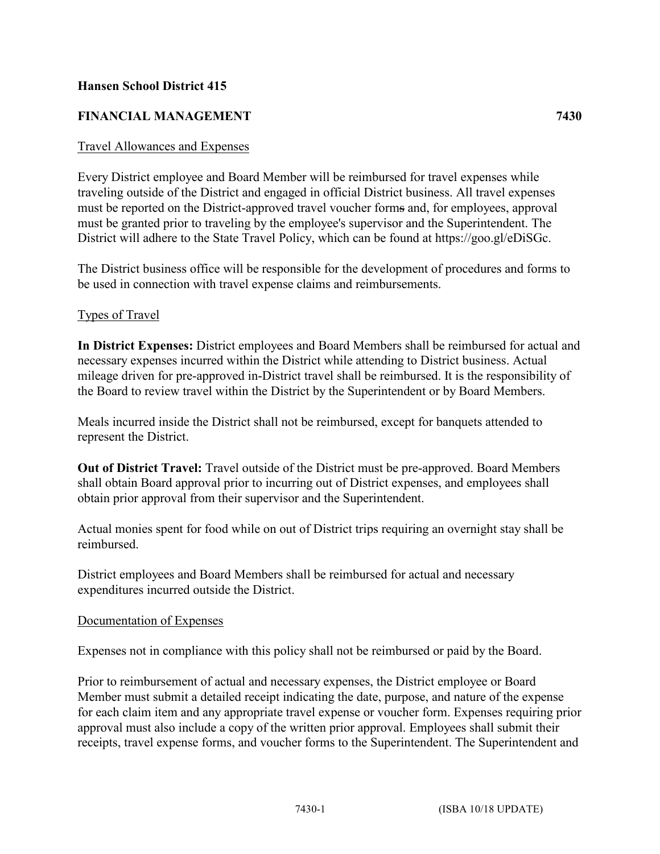### **Hansen School District 415**

## **FINANCIAL MANAGEMENT 7430**

#### Travel Allowances and Expenses

Every District employee and Board Member will be reimbursed for travel expenses while traveling outside of the District and engaged in official District business. All travel expenses must be reported on the District-approved travel voucher forms and, for employees, approval must be granted prior to traveling by the employee's supervisor and the Superintendent. The District will adhere to the State Travel Policy, which can be found at https://goo.gl/eDiSGc.

The District business office will be responsible for the development of procedures and forms to be used in connection with travel expense claims and reimbursements.

#### Types of Travel

**In District Expenses:** District employees and Board Members shall be reimbursed for actual and necessary expenses incurred within the District while attending to District business. Actual mileage driven for pre-approved in-District travel shall be reimbursed. It is the responsibility of the Board to review travel within the District by the Superintendent or by Board Members.

Meals incurred inside the District shall not be reimbursed, except for banquets attended to represent the District.

**Out of District Travel:** Travel outside of the District must be pre-approved. Board Members shall obtain Board approval prior to incurring out of District expenses, and employees shall obtain prior approval from their supervisor and the Superintendent.

Actual monies spent for food while on out of District trips requiring an overnight stay shall be reimbursed.

District employees and Board Members shall be reimbursed for actual and necessary expenditures incurred outside the District.

#### Documentation of Expenses

Expenses not in compliance with this policy shall not be reimbursed or paid by the Board.

Prior to reimbursement of actual and necessary expenses, the District employee or Board Member must submit a detailed receipt indicating the date, purpose, and nature of the expense for each claim item and any appropriate travel expense or voucher form. Expenses requiring prior approval must also include a copy of the written prior approval. Employees shall submit their receipts, travel expense forms, and voucher forms to the Superintendent. The Superintendent and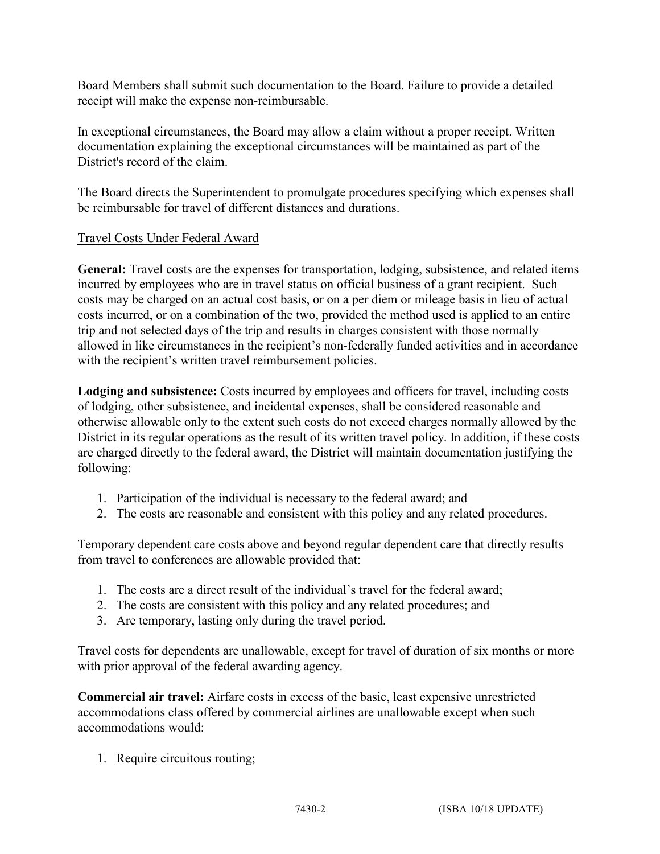Board Members shall submit such documentation to the Board. Failure to provide a detailed receipt will make the expense non-reimbursable.

In exceptional circumstances, the Board may allow a claim without a proper receipt. Written documentation explaining the exceptional circumstances will be maintained as part of the District's record of the claim.

The Board directs the Superintendent to promulgate procedures specifying which expenses shall be reimbursable for travel of different distances and durations.

# Travel Costs Under Federal Award

**General:** Travel costs are the expenses for transportation, lodging, subsistence, and related items incurred by employees who are in travel status on official business of a grant recipient. Such costs may be charged on an actual cost basis, or on a per diem or mileage basis in lieu of actual costs incurred, or on a combination of the two, provided the method used is applied to an entire trip and not selected days of the trip and results in charges consistent with those normally allowed in like circumstances in the recipient's non-federally funded activities and in accordance with the recipient's written travel reimbursement policies.

**Lodging and subsistence:** Costs incurred by employees and officers for travel, including costs of lodging, other subsistence, and incidental expenses, shall be considered reasonable and otherwise allowable only to the extent such costs do not exceed charges normally allowed by the District in its regular operations as the result of its written travel policy. In addition, if these costs are charged directly to the federal award, the District will maintain documentation justifying the following:

- 1. Participation of the individual is necessary to the federal award; and
- 2. The costs are reasonable and consistent with this policy and any related procedures.

Temporary dependent care costs above and beyond regular dependent care that directly results from travel to conferences are allowable provided that:

- 1. The costs are a direct result of the individual's travel for the federal award;
- 2. The costs are consistent with this policy and any related procedures; and
- 3. Are temporary, lasting only during the travel period.

Travel costs for dependents are unallowable, except for travel of duration of six months or more with prior approval of the federal awarding agency.

**Commercial air travel:** Airfare costs in excess of the basic, least expensive unrestricted accommodations class offered by commercial airlines are unallowable except when such accommodations would:

1. Require circuitous routing;